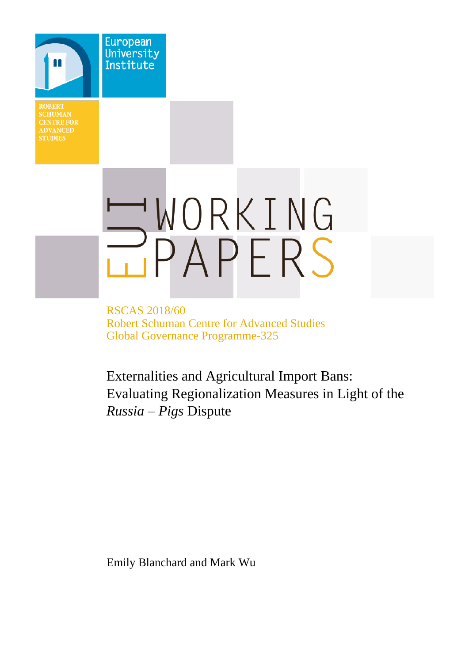**CENTRE FOR STUDIES** 

**European** University Institute

# WORKING PAPERS

RSCAS 2018/60 Robert Schuman Centre for Advanced Studies Global Governance Programme-325

Externalities and Agricultural Import Bans: Evaluating Regionalization Measures in Light of the *Russia – Pigs* Dispute

Emily Blanchard and Mark Wu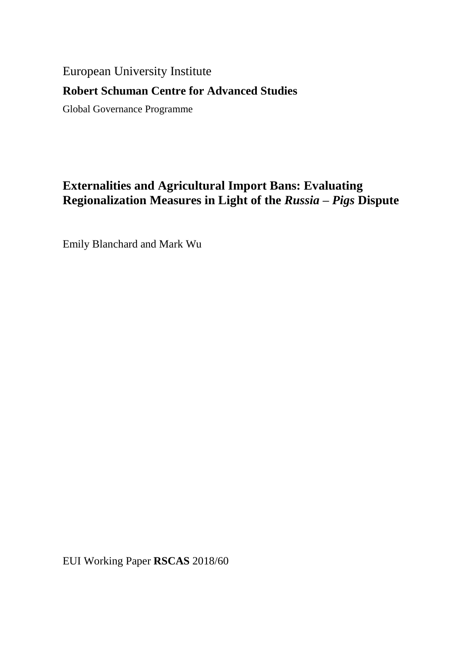# European University Institute

# **Robert Schuman Centre for Advanced Studies**

Global Governance Programme

# **Externalities and Agricultural Import Bans: Evaluating Regionalization Measures in Light of the** *Russia – Pigs* **Dispute**

Emily Blanchard and Mark Wu

EUI Working Paper **RSCAS** 2018/60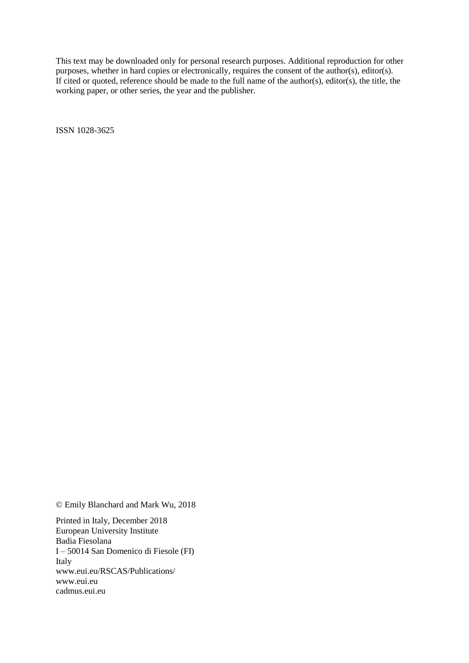This text may be downloaded only for personal research purposes. Additional reproduction for other purposes, whether in hard copies or electronically, requires the consent of the author(s), editor(s). If cited or quoted, reference should be made to the full name of the author(s), editor(s), the title, the working paper, or other series, the year and the publisher.

ISSN 1028-3625

© Emily Blanchard and Mark Wu, 2018

Printed in Italy, December 2018 European University Institute Badia Fiesolana I – 50014 San Domenico di Fiesole (FI) Italy [www.eui.eu/RSCAS/Publications/](http://www.eui.eu/RSCAS/Publications/) [www.eui.eu](http://www.eui.eu/) [cadmus.eui.eu](http://cadmus.eui.eu/dspace/index.jsp)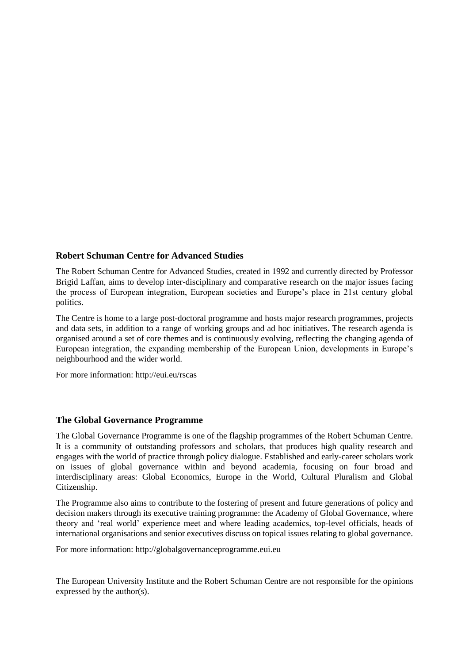## **Robert Schuman Centre for Advanced Studies**

The Robert Schuman Centre for Advanced Studies, created in 1992 and currently directed by Professor Brigid Laffan, aims to develop inter-disciplinary and comparative research on the major issues facing the process of European integration, European societies and Europe's place in 21st century global politics.

The Centre is home to a large post-doctoral programme and hosts major research programmes, projects and data sets, in addition to a range of working groups and ad hoc initiatives. The research agenda is organised around a set of core themes and is continuously evolving, reflecting the changing agenda of European integration, the expanding membership of the European Union, developments in Europe's neighbourhood and the wider world.

For more information: http://eui.eu/rscas

## **The Global Governance Programme**

The Global Governance Programme is one of the flagship programmes of the Robert Schuman Centre. It is a community of outstanding professors and scholars, that produces high quality research and engages with the world of practice through policy dialogue. Established and early-career scholars work on issues of global governance within and beyond academia, focusing on four broad and interdisciplinary areas: Global Economics, Europe in the World, Cultural Pluralism and Global Citizenship.

The Programme also aims to contribute to the fostering of present and future generations of policy and decision makers through its executive training programme: the Academy of Global Governance, where theory and 'real world' experience meet and where leading academics, top-level officials, heads of international organisations and senior executives discuss on topical issues relating to global governance.

For more information: http://globalgovernanceprogramme.eui.eu

The European University Institute and the Robert Schuman Centre are not responsible for the opinions expressed by the author(s).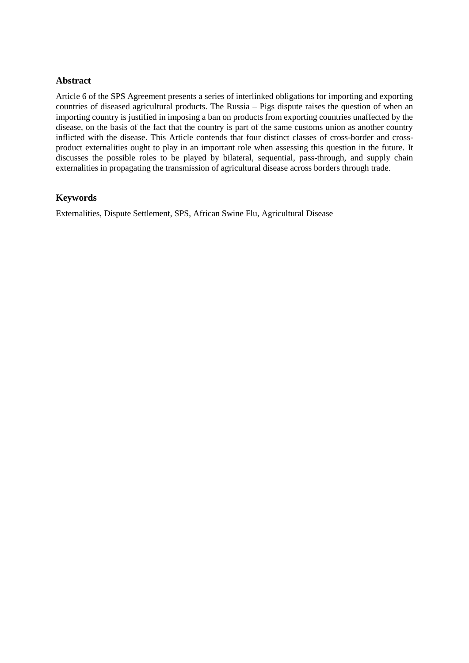#### **Abstract**

Article 6 of the SPS Agreement presents a series of interlinked obligations for importing and exporting countries of diseased agricultural products. The Russia – Pigs dispute raises the question of when an importing country is justified in imposing a ban on products from exporting countries unaffected by the disease, on the basis of the fact that the country is part of the same customs union as another country inflicted with the disease. This Article contends that four distinct classes of cross-border and crossproduct externalities ought to play in an important role when assessing this question in the future. It discusses the possible roles to be played by bilateral, sequential, pass-through, and supply chain externalities in propagating the transmission of agricultural disease across borders through trade.

## **Keywords**

Externalities, Dispute Settlement, SPS, African Swine Flu, Agricultural Disease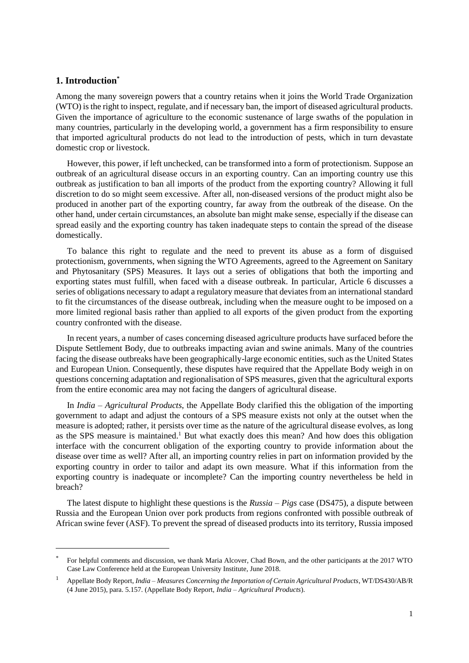#### **1. Introduction\***

l

Among the many sovereign powers that a country retains when it joins the World Trade Organization (WTO) is the right to inspect, regulate, and if necessary ban, the import of diseased agricultural products. Given the importance of agriculture to the economic sustenance of large swaths of the population in many countries, particularly in the developing world, a government has a firm responsibility to ensure that imported agricultural products do not lead to the introduction of pests, which in turn devastate domestic crop or livestock.

However, this power, if left unchecked, can be transformed into a form of protectionism. Suppose an outbreak of an agricultural disease occurs in an exporting country. Can an importing country use this outbreak as justification to ban all imports of the product from the exporting country? Allowing it full discretion to do so might seem excessive. After all, non-diseased versions of the product might also be produced in another part of the exporting country, far away from the outbreak of the disease. On the other hand, under certain circumstances, an absolute ban might make sense, especially if the disease can spread easily and the exporting country has taken inadequate steps to contain the spread of the disease domestically.

To balance this right to regulate and the need to prevent its abuse as a form of disguised protectionism, governments, when signing the WTO Agreements, agreed to the Agreement on Sanitary and Phytosanitary (SPS) Measures. It lays out a series of obligations that both the importing and exporting states must fulfill, when faced with a disease outbreak. In particular, Article 6 discusses a series of obligations necessary to adapt a regulatory measure that deviates from an international standard to fit the circumstances of the disease outbreak, including when the measure ought to be imposed on a more limited regional basis rather than applied to all exports of the given product from the exporting country confronted with the disease.

In recent years, a number of cases concerning diseased agriculture products have surfaced before the Dispute Settlement Body, due to outbreaks impacting avian and swine animals. Many of the countries facing the disease outbreaks have been geographically-large economic entities, such as the United States and European Union. Consequently, these disputes have required that the Appellate Body weigh in on questions concerning adaptation and regionalisation of SPS measures, given that the agricultural exports from the entire economic area may not facing the dangers of agricultural disease.

In *India – Agricultural Products*, the Appellate Body clarified this the obligation of the importing government to adapt and adjust the contours of a SPS measure exists not only at the outset when the measure is adopted; rather, it persists over time as the nature of the agricultural disease evolves, as long as the SPS measure is maintained.<sup>1</sup> But what exactly does this mean? And how does this obligation interface with the concurrent obligation of the exporting country to provide information about the disease over time as well? After all, an importing country relies in part on information provided by the exporting country in order to tailor and adapt its own measure. What if this information from the exporting country is inadequate or incomplete? Can the importing country nevertheless be held in breach?

The latest dispute to highlight these questions is the *Russia – Pigs* case (DS475), a dispute between Russia and the European Union over pork products from regions confronted with possible outbreak of African swine fever (ASF). To prevent the spread of diseased products into its territory, Russia imposed

<sup>\*</sup> For helpful comments and discussion, we thank Maria Alcover, Chad Bown, and the other participants at the 2017 WTO Case Law Conference held at the European University Institute, June 2018.

<sup>1</sup> Appellate Body Report, *India – Measures Concerning the Importation of Certain Agricultural Products*, WT/DS430/AB/R (4 June 2015), para. 5.157. (Appellate Body Report, *India – Agricultural Products*).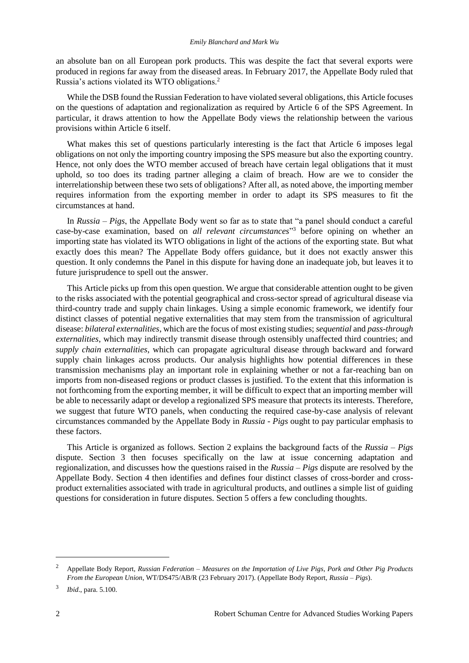an absolute ban on all European pork products. This was despite the fact that several exports were produced in regions far away from the diseased areas. In February 2017, the Appellate Body ruled that Russia's actions violated its WTO obligations.<sup>2</sup>

While the DSB found the Russian Federation to have violated several obligations, this Article focuses on the questions of adaptation and regionalization as required by Article 6 of the SPS Agreement. In particular, it draws attention to how the Appellate Body views the relationship between the various provisions within Article 6 itself.

What makes this set of questions particularly interesting is the fact that Article 6 imposes legal obligations on not only the importing country imposing the SPS measure but also the exporting country. Hence, not only does the WTO member accused of breach have certain legal obligations that it must uphold, so too does its trading partner alleging a claim of breach. How are we to consider the interrelationship between these two sets of obligations? After all, as noted above, the importing member requires information from the exporting member in order to adapt its SPS measures to fit the circumstances at hand.

In *Russia – Pigs*, the Appellate Body went so far as to state that "a panel should conduct a careful case-by-case examination, based on *all relevant circumstances*" <sup>3</sup> before opining on whether an importing state has violated its WTO obligations in light of the actions of the exporting state. But what exactly does this mean? The Appellate Body offers guidance, but it does not exactly answer this question. It only condemns the Panel in this dispute for having done an inadequate job, but leaves it to future jurisprudence to spell out the answer.

This Article picks up from this open question. We argue that considerable attention ought to be given to the risks associated with the potential geographical and cross-sector spread of agricultural disease via third-country trade and supply chain linkages. Using a simple economic framework, we identify four distinct classes of potential negative externalities that may stem from the transmission of agricultural disease: *bilateral externalities*, which are the focus of most existing studies; *sequential* and *pass-through externalities*, which may indirectly transmit disease through ostensibly unaffected third countries; and *supply chain externalities*, which can propagate agricultural disease through backward and forward supply chain linkages across products. Our analysis highlights how potential differences in these transmission mechanisms play an important role in explaining whether or not a far-reaching ban on imports from non-diseased regions or product classes is justified. To the extent that this information is not forthcoming from the exporting member, it will be difficult to expect that an importing member will be able to necessarily adapt or develop a regionalized SPS measure that protects its interests. Therefore, we suggest that future WTO panels, when conducting the required case-by-case analysis of relevant circumstances commanded by the Appellate Body in *Russia - Pigs* ought to pay particular emphasis to these factors.

This Article is organized as follows. Section 2 explains the background facts of the *Russia – Pigs*  dispute. Section 3 then focuses specifically on the law at issue concerning adaptation and regionalization, and discusses how the questions raised in the *Russia – Pigs* dispute are resolved by the Appellate Body. Section 4 then identifies and defines four distinct classes of cross-border and crossproduct externalities associated with trade in agricultural products, and outlines a simple list of guiding questions for consideration in future disputes. Section 5 offers a few concluding thoughts.

<sup>2</sup> Appellate Body Report, *Russian Federation – Measures on the Importation of Live Pigs, Pork and Other Pig Products From the European Union*, WT/DS475/AB/R (23 February 2017). (Appellate Body Report, *Russia – Pigs*).

<sup>3</sup> *Ibid*., para. 5.100.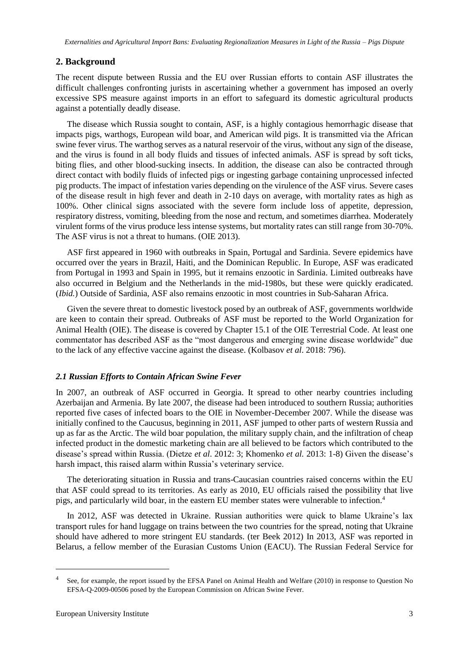## **2. Background**

The recent dispute between Russia and the EU over Russian efforts to contain ASF illustrates the difficult challenges confronting jurists in ascertaining whether a government has imposed an overly excessive SPS measure against imports in an effort to safeguard its domestic agricultural products against a potentially deadly disease.

The disease which Russia sought to contain, ASF, is a highly contagious hemorrhagic disease that impacts pigs, warthogs, European wild boar, and American wild pigs. It is transmitted via the African swine fever virus. The warthog serves as a natural reservoir of the virus, without any sign of the disease, and the virus is found in all body fluids and tissues of infected animals. ASF is spread by soft ticks, biting flies, and other blood-sucking insects. In addition, the disease can also be contracted through direct contact with bodily fluids of infected pigs or ingesting garbage containing unprocessed infected pig products. The impact of infestation varies depending on the virulence of the ASF virus. Severe cases of the disease result in high fever and death in 2-10 days on average, with mortality rates as high as 100%. Other clinical signs associated with the severe form include loss of appetite, depression, respiratory distress, vomiting, bleeding from the nose and rectum, and sometimes diarrhea. Moderately virulent forms of the virus produce less intense systems, but mortality rates can still range from 30-70%. The ASF virus is not a threat to humans. (OIE 2013).

ASF first appeared in 1960 with outbreaks in Spain, Portugal and Sardinia. Severe epidemics have occurred over the years in Brazil, Haiti, and the Dominican Republic. In Europe, ASF was eradicated from Portugal in 1993 and Spain in 1995, but it remains enzootic in Sardinia. Limited outbreaks have also occurred in Belgium and the Netherlands in the mid-1980s, but these were quickly eradicated. (*Ibid.*) Outside of Sardinia, ASF also remains enzootic in most countries in Sub-Saharan Africa.

Given the severe threat to domestic livestock posed by an outbreak of ASF, governments worldwide are keen to contain their spread. Outbreaks of ASF must be reported to the World Organization for Animal Health (OIE). The disease is covered by Chapter 15.1 of the OIE Terrestrial Code. At least one commentator has described ASF as the "most dangerous and emerging swine disease worldwide" due to the lack of any effective vaccine against the disease. (Kolbasov *et al*. 2018: 796).

#### *2.1 Russian Efforts to Contain African Swine Fever*

In 2007, an outbreak of ASF occurred in Georgia. It spread to other nearby countries including Azerbaijan and Armenia. By late 2007, the disease had been introduced to southern Russia; authorities reported five cases of infected boars to the OIE in November-December 2007. While the disease was initially confined to the Caucusus, beginning in 2011, ASF jumped to other parts of western Russia and up as far as the Arctic. The wild boar population, the military supply chain, and the infiltration of cheap infected product in the domestic marketing chain are all believed to be factors which contributed to the disease's spread within Russia. (Dietze *et al*. 2012: 3; Khomenko *et al.* 2013: 1-8) Given the disease's harsh impact, this raised alarm within Russia's veterinary service.

The deteriorating situation in Russia and trans-Caucasian countries raised concerns within the EU that ASF could spread to its territories. As early as 2010, EU officials raised the possibility that live pigs, and particularly wild boar, in the eastern EU member states were vulnerable to infection.<sup>4</sup>

In 2012, ASF was detected in Ukraine. Russian authorities were quick to blame Ukraine's lax transport rules for hand luggage on trains between the two countries for the spread, noting that Ukraine should have adhered to more stringent EU standards. (ter Beek 2012) In 2013, ASF was reported in Belarus, a fellow member of the Eurasian Customs Union (EACU). The Russian Federal Service for

<sup>4</sup> See, for example, the report issued by the EFSA Panel on Animal Health and Welfare (2010) in response to Question No EFSA-Q-2009-00506 posed by the European Commission on African Swine Fever.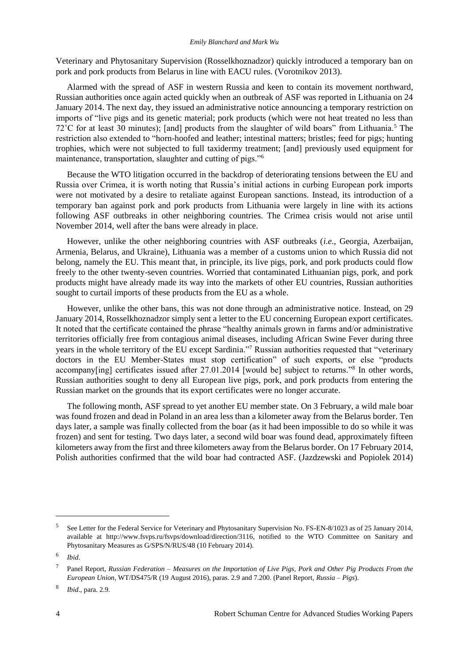#### *Emily Blanchard and Mark Wu*

Veterinary and Phytosanitary Supervision (Rosselkhoznadzor) quickly introduced a temporary ban on pork and pork products from Belarus in line with EACU rules. (Vorotnikov 2013).

Alarmed with the spread of ASF in western Russia and keen to contain its movement northward, Russian authorities once again acted quickly when an outbreak of ASF was reported in Lithuania on 24 January 2014. The next day, they issued an administrative notice announcing a temporary restriction on imports of "live pigs and its genetic material; pork products (which were not heat treated no less than  $72^{\circ}$ C for at least 30 minutes); [and] products from the slaughter of wild boars" from Lithuania.<sup>5</sup> The restriction also extended to "horn-hoofed and leather; intestinal matters; bristles; feed for pigs; hunting trophies, which were not subjected to full taxidermy treatment; [and] previously used equipment for maintenance, transportation, slaughter and cutting of pigs."<sup>6</sup>

Because the WTO litigation occurred in the backdrop of deteriorating tensions between the EU and Russia over Crimea, it is worth noting that Russia's initial actions in curbing European pork imports were not motivated by a desire to retaliate against European sanctions. Instead, its introduction of a temporary ban against pork and pork products from Lithuania were largely in line with its actions following ASF outbreaks in other neighboring countries. The Crimea crisis would not arise until November 2014, well after the bans were already in place.

However, unlike the other neighboring countries with ASF outbreaks (*i.e.*, Georgia, Azerbaijan, Armenia, Belarus, and Ukraine), Lithuania was a member of a customs union to which Russia did not belong, namely the EU. This meant that, in principle, its live pigs, pork, and pork products could flow freely to the other twenty-seven countries. Worried that contaminated Lithuanian pigs, pork, and pork products might have already made its way into the markets of other EU countries, Russian authorities sought to curtail imports of these products from the EU as a whole.

However, unlike the other bans, this was not done through an administrative notice. Instead, on 29 January 2014, Rosselkhoznadzor simply sent a letter to the EU concerning European export certificates. It noted that the certificate contained the phrase "healthy animals grown in farms and/or administrative territories officially free from contagious animal diseases, including African Swine Fever during three years in the whole territory of the EU except Sardinia."<sup>7</sup> Russian authorities requested that "veterinary doctors in the EU Member-States must stop certification" of such exports, or else "products accompany[ing] certificates issued after 27.01.2014 [would be] subject to returns."<sup>8</sup> In other words, Russian authorities sought to deny all European live pigs, pork, and pork products from entering the Russian market on the grounds that its export certificates were no longer accurate.

The following month, ASF spread to yet another EU member state. On 3 February, a wild male boar was found frozen and dead in Poland in an area less than a kilometer away from the Belarus border. Ten days later, a sample was finally collected from the boar (as it had been impossible to do so while it was frozen) and sent for testing. Two days later, a second wild boar was found dead, approximately fifteen kilometers away from the first and three kilometers away from the Belarus border. On 17 February 2014, Polish authorities confirmed that the wild boar had contracted ASF. (Jazdzewski and Popiolek 2014)

<sup>5</sup> See Letter for the Federal Service for Veterinary and Phytosanitary Supervision No. FS-EN-8/1023 as of 25 January 2014, available at [http://www.fsvps.ru/fsvps/download/direction/3116,](http://www.fsvps.ru/fsvps/download/direction/3116) notified to the WTO Committee on Sanitary and Phytosanitary Measures as G/SPS/N/RUS/48 (10 February 2014).

<sup>6</sup> *Ibid*.

<sup>7</sup> Panel Report, *Russian Federation – Measures on the Importation of Live Pigs, Pork and Other Pig Products From the European Union*, WT/DS475/R (19 August 2016), paras. 2.9 and 7.200. (Panel Report, *Russia – Pigs*).

<sup>8</sup> *Ibid*., para. 2.9.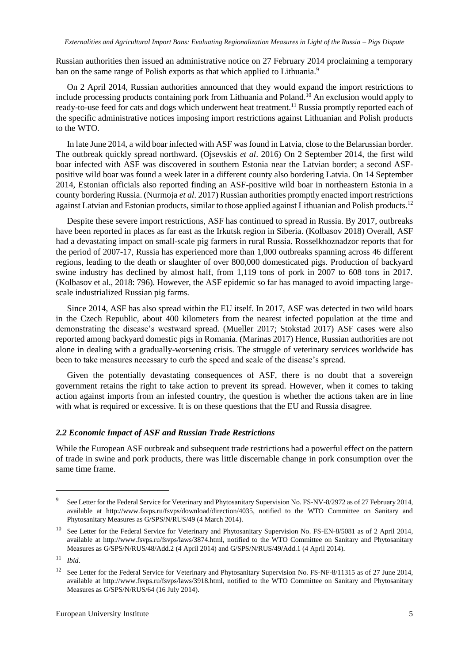Russian authorities then issued an administrative notice on 27 February 2014 proclaiming a temporary ban on the same range of Polish exports as that which applied to Lithuania.<sup>9</sup>

On 2 April 2014, Russian authorities announced that they would expand the import restrictions to include processing products containing pork from Lithuania and Poland.<sup>10</sup> An exclusion would apply to ready-to-use feed for cats and dogs which underwent heat treatment.<sup>11</sup> Russia promptly reported each of the specific administrative notices imposing import restrictions against Lithuanian and Polish products to the WTO.

In late June 2014, a wild boar infected with ASF was found in Latvia, close to the Belarussian border. The outbreak quickly spread northward. (Ojsevskis *et al*. 2016) On 2 September 2014, the first wild boar infected with ASF was discovered in southern Estonia near the Latvian border; a second ASFpositive wild boar was found a week later in a different county also bordering Latvia. On 14 September 2014, Estonian officials also reported finding an ASF-positive wild boar in northeastern Estonia in a county bordering Russia. (Nurmoja *et al*. 2017) Russian authorities promptly enacted import restrictions against Latvian and Estonian products, similar to those applied against Lithuanian and Polish products.<sup>12</sup>

Despite these severe import restrictions, ASF has continued to spread in Russia. By 2017, outbreaks have been reported in places as far east as the Irkutsk region in Siberia. (Kolbasov 2018) Overall, ASF had a devastating impact on small-scale pig farmers in rural Russia. Rosselkhoznadzor reports that for the period of 2007-17, Russia has experienced more than 1,000 outbreaks spanning across 46 different regions, leading to the death or slaughter of over 800,000 domesticated pigs. Production of backyard swine industry has declined by almost half, from 1,119 tons of pork in 2007 to 608 tons in 2017. (Kolbasov et al., 2018: 796). However, the ASF epidemic so far has managed to avoid impacting largescale industrialized Russian pig farms.

Since 2014, ASF has also spread within the EU itself. In 2017, ASF was detected in two wild boars in the Czech Republic, about 400 kilometers from the nearest infected population at the time and demonstrating the disease's westward spread. (Mueller 2017; Stokstad 2017) ASF cases were also reported among backyard domestic pigs in Romania. (Marinas 2017) Hence, Russian authorities are not alone in dealing with a gradually-worsening crisis. The struggle of veterinary services worldwide has been to take measures necessary to curb the speed and scale of the disease's spread.

Given the potentially devastating consequences of ASF, there is no doubt that a sovereign government retains the right to take action to prevent its spread. However, when it comes to taking action against imports from an infested country, the question is whether the actions taken are in line with what is required or excessive. It is on these questions that the EU and Russia disagree.

#### *2.2 Economic Impact of ASF and Russian Trade Restrictions*

While the European ASF outbreak and subsequent trade restrictions had a powerful effect on the pattern of trade in swine and pork products, there was little discernable change in pork consumption over the same time frame.

<sup>9</sup> See Letter for the Federal Service for Veterinary and Phytosanitary Supervision No. FS-NV-8/2972 as of 27 February 2014, available at [http://www.fsvps.ru/fsvps/download/direction/4035,](http://www.fsvps.ru/fsvps/download/direction/4035) notified to the WTO Committee on Sanitary and Phytosanitary Measures as G/SPS/N/RUS/49 (4 March 2014).

<sup>&</sup>lt;sup>10</sup> See Letter for the Federal Service for Veterinary and Phytosanitary Supervision No. FS-EN-8/5081 as of 2 April 2014, available at [http://www.fsvps.ru/fsvps/laws/3874.html,](http://www.fsvps.ru/fsvps/laws/3874.html) notified to the WTO Committee on Sanitary and Phytosanitary Measures as G/SPS/N/RUS/48/Add.2 (4 April 2014) and G/SPS/N/RUS/49/Add.1 (4 April 2014).

<sup>11</sup> *Ibid*.

<sup>&</sup>lt;sup>12</sup> See Letter for the Federal Service for Veterinary and Phytosanitary Supervision No. FS-NF-8/11315 as of 27 June 2014, available at [http://www.fsvps.ru/fsvps/laws/3918.html,](http://www.fsvps.ru/fsvps/laws/3918.html) notified to the WTO Committee on Sanitary and Phytosanitary Measures as G/SPS/N/RUS/64 (16 July 2014).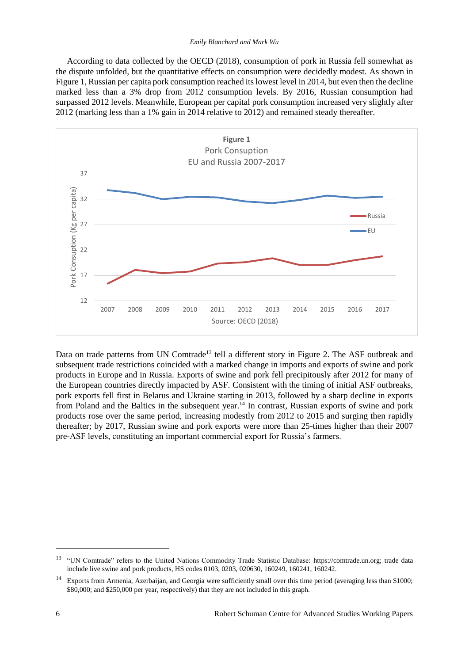#### *Emily Blanchard and Mark Wu*

According to data collected by the OECD (2018), consumption of pork in Russia fell somewhat as the dispute unfolded, but the quantitative effects on consumption were decidedly modest. As shown in Figure 1, Russian per capita pork consumption reached its lowest level in 2014, but even then the decline marked less than a 3% drop from 2012 consumption levels. By 2016, Russian consumption had surpassed 2012 levels. Meanwhile, European per capital pork consumption increased very slightly after 2012 (marking less than a 1% gain in 2014 relative to 2012) and remained steady thereafter.



Data on trade patterns from UN Comtrade<sup>13</sup> tell a different story in Figure 2. The ASF outbreak and subsequent trade restrictions coincided with a marked change in imports and exports of swine and pork products in Europe and in Russia. Exports of swine and pork fell precipitously after 2012 for many of the European countries directly impacted by ASF. Consistent with the timing of initial ASF outbreaks, pork exports fell first in Belarus and Ukraine starting in 2013, followed by a sharp decline in exports from Poland and the Baltics in the subsequent year.<sup>14</sup> In contrast, Russian exports of swine and pork products rose over the same period, increasing modestly from 2012 to 2015 and surging then rapidly thereafter; by 2017, Russian swine and pork exports were more than 25-times higher than their 2007 pre-ASF levels, constituting an important commercial export for Russia's farmers.

l

<sup>&</sup>lt;sup>13</sup> "UN Comtrade" refers to the United Nations Commodity Trade Statistic Database: [https://comtrade.un.org;](https://comtrade.un.org/) trade data include live swine and pork products, HS codes 0103, 0203, 020630, 160249, 160241, 160242.

<sup>&</sup>lt;sup>14</sup> Exports from Armenia, Azerbaijan, and Georgia were sufficiently small over this time period (averaging less than \$1000; \$80,000; and \$250,000 per year, respectively) that they are not included in this graph.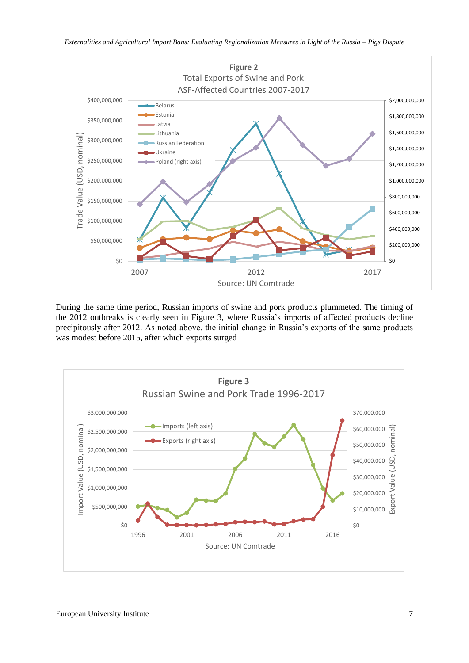

*Externalities and Agricultural Import Bans: Evaluating Regionalization Measures in Light of the Russia – Pigs Dispute*

During the same time period, Russian imports of swine and pork products plummeted. The timing of the 2012 outbreaks is clearly seen in Figure 3, where Russia's imports of affected products decline precipitously after 2012. As noted above, the initial change in Russia's exports of the same products was modest before 2015, after which exports surged

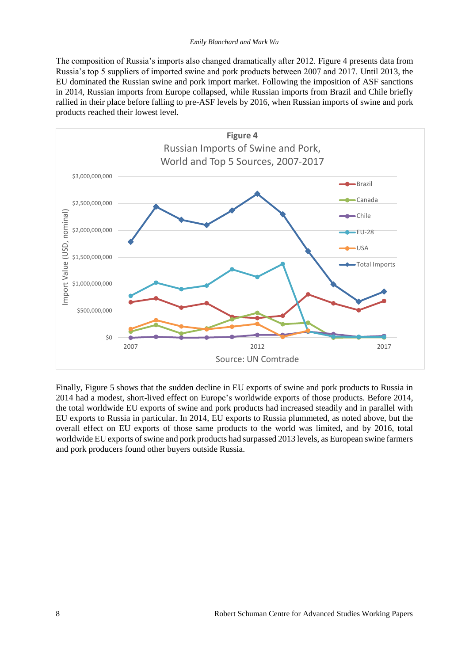The composition of Russia's imports also changed dramatically after 2012. Figure 4 presents data from Russia's top 5 suppliers of imported swine and pork products between 2007 and 2017. Until 2013, the EU dominated the Russian swine and pork import market. Following the imposition of ASF sanctions in 2014, Russian imports from Europe collapsed, while Russian imports from Brazil and Chile briefly rallied in their place before falling to pre-ASF levels by 2016, when Russian imports of swine and pork products reached their lowest level.



Finally, Figure 5 shows that the sudden decline in EU exports of swine and pork products to Russia in 2014 had a modest, short-lived effect on Europe's worldwide exports of those products. Before 2014, the total worldwide EU exports of swine and pork products had increased steadily and in parallel with EU exports to Russia in particular. In 2014, EU exports to Russia plummeted, as noted above, but the overall effect on EU exports of those same products to the world was limited, and by 2016, total worldwide EU exports of swine and pork products had surpassed 2013 levels, as European swine farmers and pork producers found other buyers outside Russia.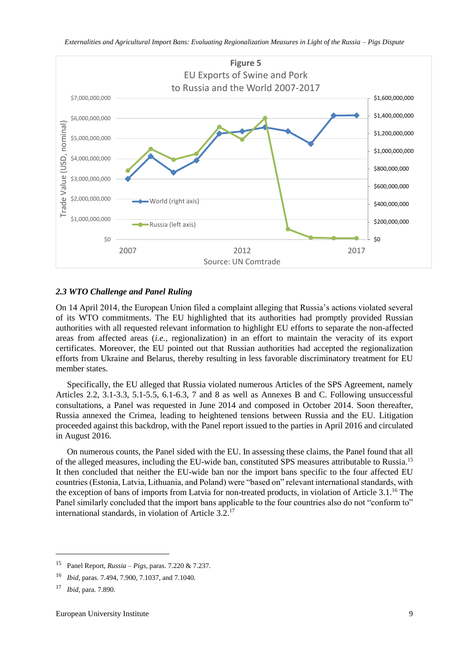

#### *2.3 WTO Challenge and Panel Ruling*

On 14 April 2014, the European Union filed a complaint alleging that Russia's actions violated several of its WTO commitments. The EU highlighted that its authorities had promptly provided Russian authorities with all requested relevant information to highlight EU efforts to separate the non-affected areas from affected areas (*i.e.*, regionalization) in an effort to maintain the veracity of its export certificates. Moreover, the EU pointed out that Russian authorities had accepted the regionalization efforts from Ukraine and Belarus, thereby resulting in less favorable discriminatory treatment for EU member states.

Specifically, the EU alleged that Russia violated numerous Articles of the SPS Agreement, namely Articles 2.2, 3.1-3.3, 5.1-5.5, 6.1-6.3, 7 and 8 as well as Annexes B and C. Following unsuccessful consultations, a Panel was requested in June 2014 and composed in October 2014. Soon thereafter, Russia annexed the Crimea, leading to heightened tensions between Russia and the EU. Litigation proceeded against this backdrop, with the Panel report issued to the parties in April 2016 and circulated in August 2016.

On numerous counts, the Panel sided with the EU. In assessing these claims, the Panel found that all of the alleged measures, including the EU-wide ban, constituted SPS measures attributable to Russia.<sup>15</sup> It then concluded that neither the EU-wide ban nor the import bans specific to the four affected EU countries (Estonia, Latvia, Lithuania, and Poland) were "based on" relevant international standards, with the exception of bans of imports from Latvia for non-treated products, in violation of Article 3.1.<sup>16</sup> The Panel similarly concluded that the import bans applicable to the four countries also do not "conform to" international standards, in violation of Article 3.2.<sup>17</sup>

<sup>15</sup> Panel Report, *Russia – Pigs*, paras. 7.220 & 7.237.

<sup>16</sup> *Ibid*, paras. 7.494, 7.900, 7.1037, and 7.1040.

<sup>17</sup> *Ibid*, para. 7.890.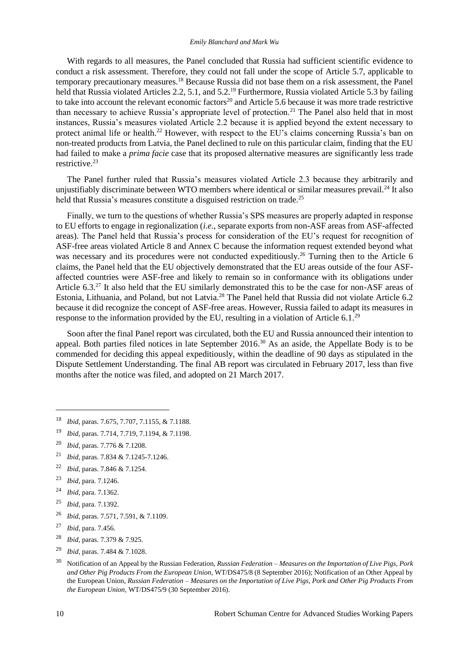#### *Emily Blanchard and Mark Wu*

With regards to all measures, the Panel concluded that Russia had sufficient scientific evidence to conduct a risk assessment. Therefore, they could not fall under the scope of Article 5.7, applicable to temporary precautionary measures.<sup>18</sup> Because Russia did not base them on a risk assessment, the Panel held that Russia violated Articles 2.2, 5.1, and 5.2.<sup>19</sup> Furthermore, Russia violated Article 5.3 by failing to take into account the relevant economic factors<sup>20</sup> and Article 5.6 because it was more trade restrictive than necessary to achieve Russia's appropriate level of protection.<sup>21</sup> The Panel also held that in most instances, Russia's measures violated Article 2.2 because it is applied beyond the extent necessary to protect animal life or health.<sup>22</sup> However, with respect to the EU's claims concerning Russia's ban on non-treated products from Latvia, the Panel declined to rule on this particular claim, finding that the EU had failed to make a *prima facie* case that its proposed alternative measures are significantly less trade restrictive.<sup>23</sup>

The Panel further ruled that Russia's measures violated Article 2.3 because they arbitrarily and unjustifiably discriminate between WTO members where identical or similar measures prevail.<sup>24</sup> It also held that Russia's measures constitute a disguised restriction on trade.<sup>25</sup>

Finally, we turn to the questions of whether Russia's SPS measures are properly adapted in response to EU efforts to engage in regionalization (*i.e.*, separate exports from non-ASF areas from ASF-affected areas). The Panel held that Russia's process for consideration of the EU's request for recognition of ASF-free areas violated Article 8 and Annex C because the information request extended beyond what was necessary and its procedures were not conducted expeditiously.<sup>26</sup> Turning then to the Article 6 claims, the Panel held that the EU objectively demonstrated that the EU areas outside of the four ASFaffected countries were ASF-free and likely to remain so in conformance with its obligations under Article 6.3.<sup>27</sup> It also held that the EU similarly demonstrated this to be the case for non-ASF areas of Estonia, Lithuania, and Poland, but not Latvia.<sup>28</sup> The Panel held that Russia did not violate Article 6.2 because it did recognize the concept of ASF-free areas. However, Russia failed to adapt its measures in response to the information provided by the EU, resulting in a violation of Article  $6.1<sup>29</sup>$ 

Soon after the final Panel report was circulated, both the EU and Russia announced their intention to appeal. Both parties filed notices in late September 2016.<sup>30</sup> As an aside, the Appellate Body is to be commended for deciding this appeal expeditiously, within the deadline of 90 days as stipulated in the Dispute Settlement Understanding. The final AB report was circulated in February 2017, less than five months after the notice was filed, and adopted on 21 March 2017.

- <sup>19</sup> *Ibid*, paras. 7.714, 7.719, 7.1194, & 7.1198.
- <sup>20</sup> *Ibid*, paras. 7.776 & 7.1208.
- <sup>21</sup> *Ibid*, paras. 7.834 & 7.1245-7.1246.
- <sup>22</sup> *Ibid*, paras. 7.846 & 7.1254.
- <sup>23</sup> *Ibid*, para. 7.1246.

 $\overline{a}$ 

- <sup>24</sup> *Ibid*, para. 7.1362.
- <sup>25</sup> *Ibid*, para. 7.1392.
- <sup>26</sup> *Ibid*, paras. 7.571, 7.591, & 7.1109.
- <sup>27</sup> *Ibid*, para. 7.456.
- <sup>28</sup> *Ibid*, paras. 7.379 & 7.925.
- <sup>29</sup> *Ibid*, paras. 7.484 & 7.1028.

<sup>18</sup> *Ibid*, paras. 7.675, 7.707, 7.1155, & 7.1188.

<sup>30</sup> Notification of an Appeal by the Russian Federation, *Russian Federation – Measures on the Importation of Live Pigs, Pork and Other Pig Products From the European Union*, WT/DS475/8 (8 September 2016); Notification of an Other Appeal by the European Union, *Russian Federation – Measures on the Importation of Live Pigs, Pork and Other Pig Products From the European Union*, WT/DS475/9 (30 September 2016).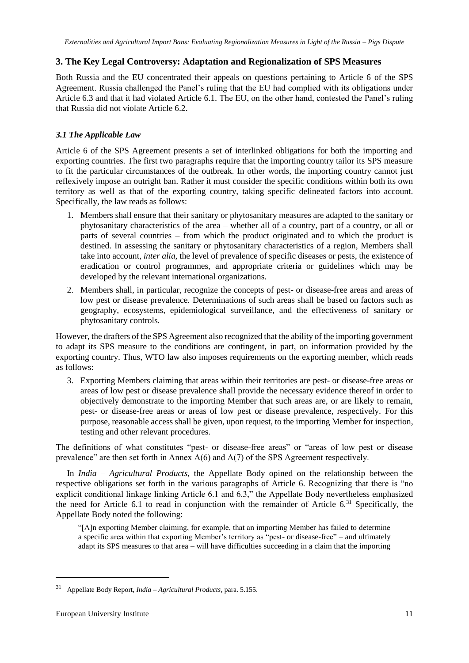## **3. The Key Legal Controversy: Adaptation and Regionalization of SPS Measures**

Both Russia and the EU concentrated their appeals on questions pertaining to Article 6 of the SPS Agreement. Russia challenged the Panel's ruling that the EU had complied with its obligations under Article 6.3 and that it had violated Article 6.1. The EU, on the other hand, contested the Panel's ruling that Russia did not violate Article 6.2.

## *3.1 The Applicable Law*

Article 6 of the SPS Agreement presents a set of interlinked obligations for both the importing and exporting countries. The first two paragraphs require that the importing country tailor its SPS measure to fit the particular circumstances of the outbreak. In other words, the importing country cannot just reflexively impose an outright ban. Rather it must consider the specific conditions within both its own territory as well as that of the exporting country, taking specific delineated factors into account. Specifically, the law reads as follows:

- 1. Members shall ensure that their sanitary or phytosanitary measures are adapted to the sanitary or phytosanitary characteristics of the area – whether all of a country, part of a country, or all or parts of several countries – from which the product originated and to which the product is destined. In assessing the sanitary or phytosanitary characteristics of a region, Members shall take into account, *inter alia*, the level of prevalence of specific diseases or pests, the existence of eradication or control programmes, and appropriate criteria or guidelines which may be developed by the relevant international organizations.
- 2. Members shall, in particular, recognize the concepts of pest- or disease-free areas and areas of low pest or disease prevalence. Determinations of such areas shall be based on factors such as geography, ecosystems, epidemiological surveillance, and the effectiveness of sanitary or phytosanitary controls.

However, the drafters of the SPS Agreement also recognized that the ability of the importing government to adapt its SPS measure to the conditions are contingent, in part, on information provided by the exporting country. Thus, WTO law also imposes requirements on the exporting member, which reads as follows:

3. Exporting Members claiming that areas within their territories are pest- or disease-free areas or areas of low pest or disease prevalence shall provide the necessary evidence thereof in order to objectively demonstrate to the importing Member that such areas are, or are likely to remain, pest- or disease-free areas or areas of low pest or disease prevalence, respectively. For this purpose, reasonable access shall be given, upon request, to the importing Member for inspection, testing and other relevant procedures.

The definitions of what constitutes "pest- or disease-free areas" or "areas of low pest or disease prevalence" are then set forth in Annex A(6) and A(7) of the SPS Agreement respectively.

In *India – Agricultural Products*, the Appellate Body opined on the relationship between the respective obligations set forth in the various paragraphs of Article 6. Recognizing that there is "no explicit conditional linkage linking Article 6.1 and 6.3," the Appellate Body nevertheless emphasized the need for Article 6.1 to read in conjunction with the remainder of Article 6.<sup>31</sup> Specifically, the Appellate Body noted the following:

"[A]n exporting Member claiming, for example, that an importing Member has failed to determine a specific area within that exporting Member's territory as "pest- or disease-free" – and ultimately adapt its SPS measures to that area – will have difficulties succeeding in a claim that the importing

<sup>31</sup> Appellate Body Report, *India – Agricultural Products*, para. 5.155.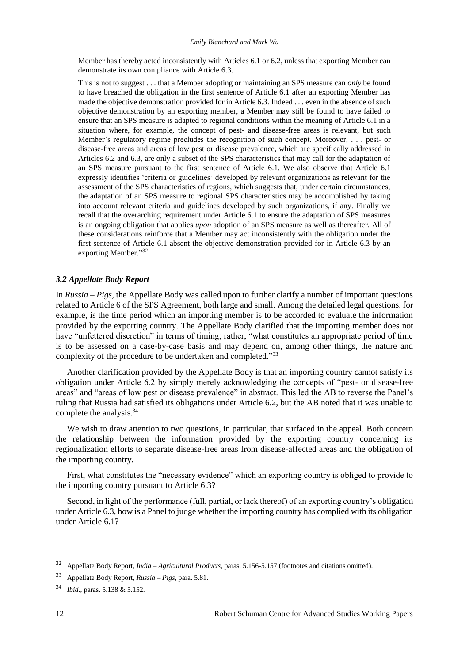Member has thereby acted inconsistently with Articles 6.1 or 6.2, unless that exporting Member can demonstrate its own compliance with Article 6.3.

This is not to suggest . . . that a Member adopting or maintaining an SPS measure can *only* be found to have breached the obligation in the first sentence of Article 6.1 after an exporting Member has made the objective demonstration provided for in Article 6.3. Indeed . . . even in the absence of such objective demonstration by an exporting member, a Member may still be found to have failed to ensure that an SPS measure is adapted to regional conditions within the meaning of Article 6.1 in a situation where, for example, the concept of pest- and disease-free areas is relevant, but such Member's regulatory regime precludes the recognition of such concept. Moreover, . . . pest- or disease-free areas and areas of low pest or disease prevalence, which are specifically addressed in Articles 6.2 and 6.3, are only a subset of the SPS characteristics that may call for the adaptation of an SPS measure pursuant to the first sentence of Article 6.1. We also observe that Article 6.1 expressly identifies 'criteria or guidelines' developed by relevant organizations as relevant for the assessment of the SPS characteristics of regions, which suggests that, under certain circumstances, the adaptation of an SPS measure to regional SPS characteristics may be accomplished by taking into account relevant criteria and guidelines developed by such organizations, if any. Finally we recall that the overarching requirement under Article 6.1 to ensure the adaptation of SPS measures is an ongoing obligation that applies *upon* adoption of an SPS measure as well as thereafter. All of these considerations reinforce that a Member may act inconsistently with the obligation under the first sentence of Article 6.1 absent the objective demonstration provided for in Article 6.3 by an exporting Member."32

#### *3.2 Appellate Body Report*

In *Russia – Pigs*, the Appellate Body was called upon to further clarify a number of important questions related to Article 6 of the SPS Agreement, both large and small. Among the detailed legal questions, for example, is the time period which an importing member is to be accorded to evaluate the information provided by the exporting country. The Appellate Body clarified that the importing member does not have "unfettered discretion" in terms of timing; rather, "what constitutes an appropriate period of time is to be assessed on a case-by-case basis and may depend on, among other things, the nature and complexity of the procedure to be undertaken and completed."<sup>33</sup>

Another clarification provided by the Appellate Body is that an importing country cannot satisfy its obligation under Article 6.2 by simply merely acknowledging the concepts of "pest- or disease-free areas" and "areas of low pest or disease prevalence" in abstract. This led the AB to reverse the Panel's ruling that Russia had satisfied its obligations under Article 6.2, but the AB noted that it was unable to complete the analysis.<sup>34</sup>

We wish to draw attention to two questions, in particular, that surfaced in the appeal. Both concern the relationship between the information provided by the exporting country concerning its regionalization efforts to separate disease-free areas from disease-affected areas and the obligation of the importing country.

First, what constitutes the "necessary evidence" which an exporting country is obliged to provide to the importing country pursuant to Article 6.3?

Second, in light of the performance (full, partial, or lack thereof) of an exporting country's obligation under Article 6.3, how is a Panel to judge whether the importing country has complied with its obligation under Article 6.1?

<sup>32</sup> Appellate Body Report, *India – Agricultural Products*, paras. 5.156-5.157 (footnotes and citations omitted).

<sup>33</sup> Appellate Body Report, *Russia – Pigs*, para. 5.81.

<sup>34</sup> *Ibid*., paras. 5.138 & 5.152.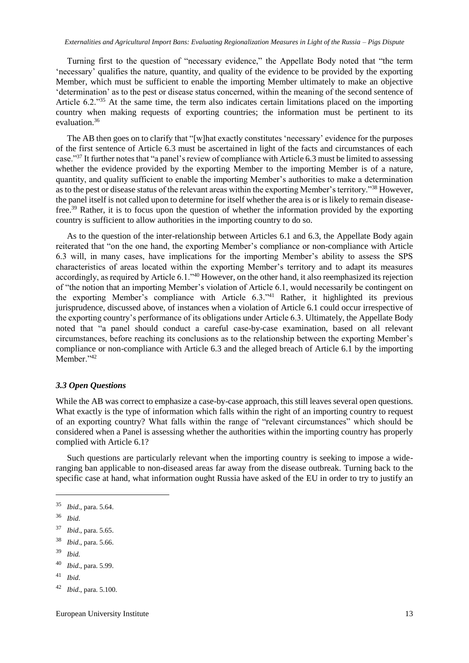Turning first to the question of "necessary evidence," the Appellate Body noted that "the term 'necessary' qualifies the nature, quantity, and quality of the evidence to be provided by the exporting Member, which must be sufficient to enable the importing Member ultimately to make an objective 'determination' as to the pest or disease status concerned, within the meaning of the second sentence of Article 6.2."<sup>35</sup> At the same time, the term also indicates certain limitations placed on the importing country when making requests of exporting countries; the information must be pertinent to its evaluation.<sup>36</sup>

The AB then goes on to clarify that "[w]hat exactly constitutes 'necessary' evidence for the purposes of the first sentence of Article 6.3 must be ascertained in light of the facts and circumstances of each case."<sup>37</sup> It further notes that "a panel's review of compliance with Article 6.3 must be limited to assessing whether the evidence provided by the exporting Member to the importing Member is of a nature, quantity, and quality sufficient to enable the importing Member's authorities to make a determination as to the pest or disease status of the relevant areas within the exporting Member's territory."<sup>38</sup> However, the panel itself is not called upon to determine for itself whether the area is or is likely to remain diseasefree.<sup>39</sup> Rather, it is to focus upon the question of whether the information provided by the exporting country is sufficient to allow authorities in the importing country to do so.

As to the question of the inter-relationship between Articles 6.1 and 6.3, the Appellate Body again reiterated that "on the one hand, the exporting Member's compliance or non-compliance with Article 6.3 will, in many cases, have implications for the importing Member's ability to assess the SPS characteristics of areas located within the exporting Member's territory and to adapt its measures accordingly, as required by Article 6.1."<sup>40</sup> However, on the other hand, it also reemphasized its rejection of "the notion that an importing Member's violation of Article 6.1, would necessarily be contingent on the exporting Member's compliance with Article 6.3."<sup>41</sup> Rather, it highlighted its previous jurisprudence, discussed above, of instances when a violation of Article 6.1 could occur irrespective of the exporting country's performance of its obligations under Article 6.3. Ultimately, the Appellate Body noted that "a panel should conduct a careful case-by-case examination, based on all relevant circumstances, before reaching its conclusions as to the relationship between the exporting Member's compliance or non-compliance with Article 6.3 and the alleged breach of Article 6.1 by the importing Member."<sup>42</sup>

#### *3.3 Open Questions*

While the AB was correct to emphasize a case-by-case approach, this still leaves several open questions. What exactly is the type of information which falls within the right of an importing country to request of an exporting country? What falls within the range of "relevant circumstances" which should be considered when a Panel is assessing whether the authorities within the importing country has properly complied with Article 6.1?

Such questions are particularly relevant when the importing country is seeking to impose a wideranging ban applicable to non-diseased areas far away from the disease outbreak. Turning back to the specific case at hand, what information ought Russia have asked of the EU in order to try to justify an

- <sup>38</sup> *Ibid*., para. 5.66.
- <sup>39</sup> *Ibid.*

<sup>35</sup> *Ibid*., para. 5.64.

<sup>36</sup> *Ibid*.

<sup>37</sup> *Ibid*., para. 5.65.

<sup>40</sup> *Ibid*., para. 5.99.

<sup>41</sup> *Ibid*.

<sup>42</sup> *Ibid*., para. 5.100.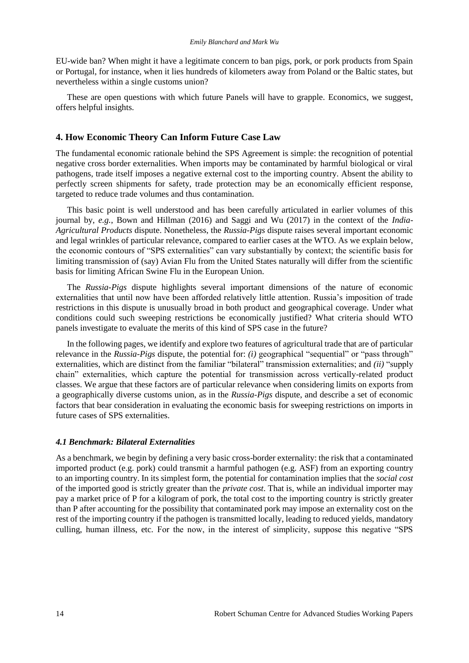EU-wide ban? When might it have a legitimate concern to ban pigs, pork, or pork products from Spain or Portugal, for instance, when it lies hundreds of kilometers away from Poland or the Baltic states, but nevertheless within a single customs union?

These are open questions with which future Panels will have to grapple. Economics, we suggest, offers helpful insights.

#### **4. How Economic Theory Can Inform Future Case Law**

The fundamental economic rationale behind the SPS Agreement is simple: the recognition of potential negative cross border externalities. When imports may be contaminated by harmful biological or viral pathogens, trade itself imposes a negative external cost to the importing country. Absent the ability to perfectly screen shipments for safety, trade protection may be an economically efficient response, targeted to reduce trade volumes and thus contamination.

This basic point is well understood and has been carefully articulated in earlier volumes of this journal by, *e.g.*, Bown and Hillman (2016) and Saggi and Wu (2017) in the context of the *India-Agricultural Products* dispute. Nonetheless, the *Russia-Pigs* dispute raises several important economic and legal wrinkles of particular relevance, compared to earlier cases at the WTO. As we explain below, the economic contours of "SPS externalities" can vary substantially by context; the scientific basis for limiting transmission of (say) Avian Flu from the United States naturally will differ from the scientific basis for limiting African Swine Flu in the European Union.

The *Russia-Pigs* dispute highlights several important dimensions of the nature of economic externalities that until now have been afforded relatively little attention. Russia's imposition of trade restrictions in this dispute is unusually broad in both product and geographical coverage. Under what conditions could such sweeping restrictions be economically justified? What criteria should WTO panels investigate to evaluate the merits of this kind of SPS case in the future?

In the following pages, we identify and explore two features of agricultural trade that are of particular relevance in the *Russia-Pigs* dispute, the potential for: *(i)* geographical "sequential" or "pass through" externalities, which are distinct from the familiar "bilateral" transmission externalities; and *(ii)* "supply chain" externalities, which capture the potential for transmission across vertically-related product classes. We argue that these factors are of particular relevance when considering limits on exports from a geographically diverse customs union, as in the *Russia-Pigs* dispute, and describe a set of economic factors that bear consideration in evaluating the economic basis for sweeping restrictions on imports in future cases of SPS externalities.

#### *4.1 Benchmark: Bilateral Externalities*

As a benchmark, we begin by defining a very basic cross-border externality: the risk that a contaminated imported product (e.g. pork) could transmit a harmful pathogen (e.g. ASF) from an exporting country to an importing country. In its simplest form, the potential for contamination implies that the *social cost* of the imported good is strictly greater than the *private cost*. That is, while an individual importer may pay a market price of P for a kilogram of pork, the total cost to the importing country is strictly greater than P after accounting for the possibility that contaminated pork may impose an externality cost on the rest of the importing country if the pathogen is transmitted locally, leading to reduced yields, mandatory culling, human illness, etc. For the now, in the interest of simplicity, suppose this negative "SPS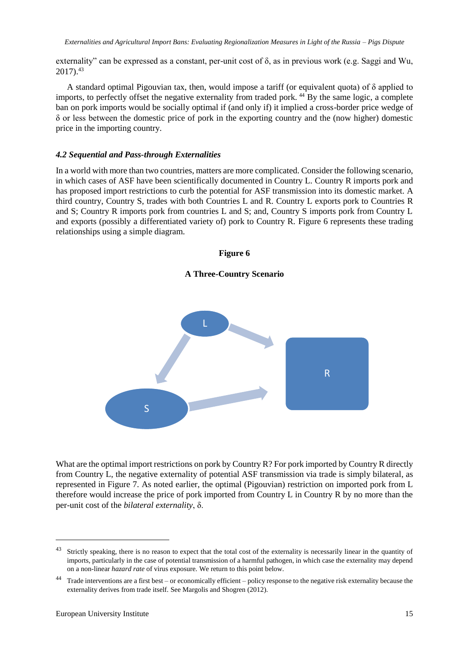externality" can be expressed as a constant, per-unit cost of δ, as in previous work (e.g. Saggi and Wu,  $2017$ ).<sup>43</sup>

A standard optimal Pigouvian tax, then, would impose a tariff (or equivalent quota) of δ applied to imports, to perfectly offset the negative externality from traded pork.<sup>44</sup> By the same logic, a complete ban on pork imports would be socially optimal if (and only if) it implied a cross-border price wedge of δ or less between the domestic price of pork in the exporting country and the (now higher) domestic price in the importing country.

#### *4.2 Sequential and Pass-through Externalities*

In a world with more than two countries, matters are more complicated. Consider the following scenario, in which cases of ASF have been scientifically documented in Country L. Country R imports pork and has proposed import restrictions to curb the potential for ASF transmission into its domestic market. A third country, Country S, trades with both Countries L and R. Country L exports pork to Countries R and S; Country R imports pork from countries L and S; and, Country S imports pork from Country L and exports (possibly a differentiated variety of) pork to Country R. Figure 6 represents these trading relationships using a simple diagram.





What are the optimal import restrictions on pork by Country R? For pork imported by Country R directly from Country L, the negative externality of potential ASF transmission via trade is simply bilateral, as represented in Figure 7. As noted earlier, the optimal (Pigouvian) restriction on imported pork from L therefore would increase the price of pork imported from Country L in Country R by no more than the per-unit cost of the *bilateral externality*, δ.

<sup>&</sup>lt;sup>43</sup> Strictly speaking, there is no reason to expect that the total cost of the externality is necessarily linear in the quantity of imports, particularly in the case of potential transmission of a harmful pathogen, in which case the externality may depend on a non-linear *hazard rate* of virus exposure. We return to this point below.

<sup>44</sup> Trade interventions are a first best – or economically efficient – policy response to the negative risk externality because the externality derives from trade itself. See Margolis and Shogren (2012).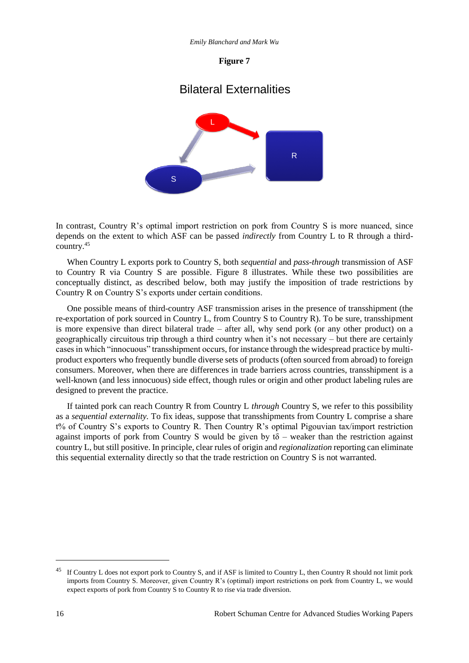#### **Figure 7**

## Bilateral Externalities



In contrast, Country R's optimal import restriction on pork from Country S is more nuanced, since depends on the extent to which ASF can be passed *indirectly* from Country L to R through a thirdcountry.<sup>45</sup>

When Country L exports pork to Country S, both *sequential* and *pass-through* transmission of ASF to Country R via Country S are possible. Figure 8 illustrates. While these two possibilities are conceptually distinct, as described below, both may justify the imposition of trade restrictions by Country R on Country S's exports under certain conditions.

One possible means of third-country ASF transmission arises in the presence of transshipment (the re-exportation of pork sourced in Country L, from Country S to Country R). To be sure, transshipment is more expensive than direct bilateral trade – after all, why send pork (or any other product) on a geographically circuitous trip through a third country when it's not necessary – but there are certainly cases in which "innocuous" transshipment occurs, for instance through the widespread practice by multiproduct exporters who frequently bundle diverse sets of products (often sourced from abroad) to foreign consumers. Moreover, when there are differences in trade barriers across countries, transshipment is a well-known (and less innocuous) side effect, though rules or origin and other product labeling rules are designed to prevent the practice.

If tainted pork can reach Country R from Country L *through* Country S, we refer to this possibility as a *sequential externality.* To fix ideas, suppose that transshipments from Country L comprise a share t% of Country S's exports to Country R. Then Country R's optimal Pigouvian tax/import restriction against imports of pork from Country S would be given by  $t\delta$  – weaker than the restriction against country L, but still positive. In principle, clear rules of origin and *regionalization* reporting can eliminate this sequential externality directly so that the trade restriction on Country S is not warranted.

l

<sup>45</sup> If Country L does not export pork to Country S, and if ASF is limited to Country L, then Country R should not limit pork imports from Country S. Moreover, given Country R's (optimal) import restrictions on pork from Country L, we would expect exports of pork from Country S to Country R to rise via trade diversion.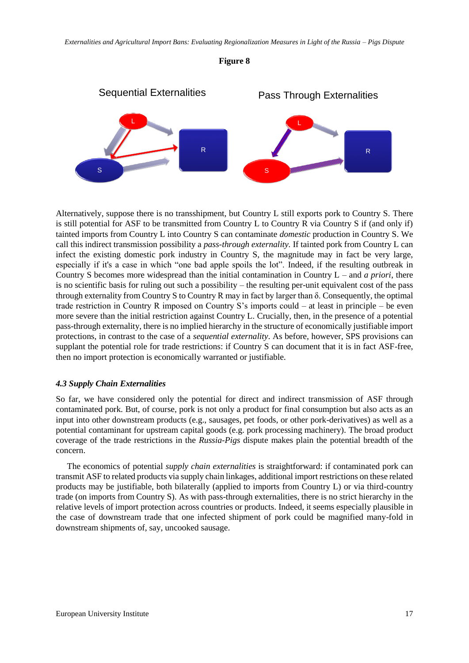



Alternatively, suppose there is no transshipment, but Country L still exports pork to Country S. There is still potential for ASF to be transmitted from Country L to Country R via Country S if (and only if) tainted imports from Country L into Country S can contaminate *domestic* production in Country S. We call this indirect transmission possibility a *pass-through externality.* If tainted pork from Country L can infect the existing domestic pork industry in Country S, the magnitude may in fact be very large, especially if it's a case in which "one bad apple spoils the lot". Indeed, if the resulting outbreak in Country S becomes more widespread than the initial contamination in Country L – and *a priori*, there is no scientific basis for ruling out such a possibility – the resulting per-unit equivalent cost of the pass through externality from Country S to Country R may in fact by larger than δ. Consequently, the optimal trade restriction in Country R imposed on Country S's imports could – at least in principle – be even more severe than the initial restriction against Country L. Crucially, then, in the presence of a potential pass-through externality, there is no implied hierarchy in the structure of economically justifiable import protections, in contrast to the case of a *sequential externality*. As before, however, SPS provisions can supplant the potential role for trade restrictions: if Country S can document that it is in fact ASF-free, then no import protection is economically warranted or justifiable.

#### *4.3 Supply Chain Externalities*

So far, we have considered only the potential for direct and indirect transmission of ASF through contaminated pork. But, of course, pork is not only a product for final consumption but also acts as an input into other downstream products (e.g., sausages, pet foods, or other pork-derivatives) as well as a potential contaminant for upstream capital goods (e.g. pork processing machinery). The broad product coverage of the trade restrictions in the *Russia-Pigs* dispute makes plain the potential breadth of the concern.

The economics of potential *supply chain externalities* is straightforward: if contaminated pork can transmit ASF to related products via supply chain linkages, additional import restrictions on these related products may be justifiable, both bilaterally (applied to imports from Country L) or via third-country trade (on imports from Country S). As with pass-through externalities, there is no strict hierarchy in the relative levels of import protection across countries or products. Indeed, it seems especially plausible in the case of downstream trade that one infected shipment of pork could be magnified many-fold in downstream shipments of, say, uncooked sausage.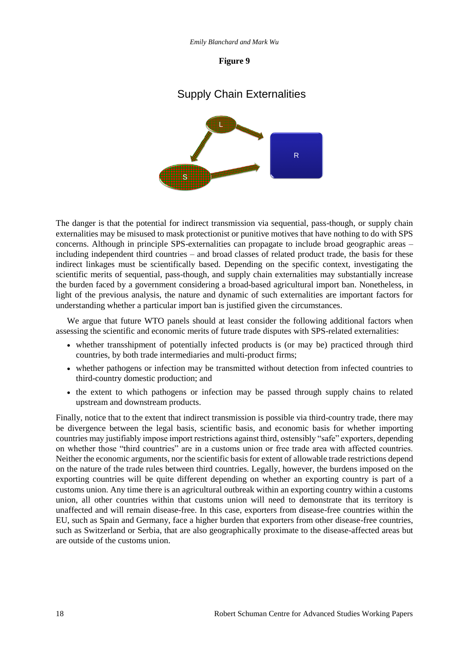#### **Figure 9**

## Supply Chain Externalities



The danger is that the potential for indirect transmission via sequential, pass-though, or supply chain externalities may be misused to mask protectionist or punitive motives that have nothing to do with SPS concerns. Although in principle SPS-externalities can propagate to include broad geographic areas – including independent third countries – and broad classes of related product trade, the basis for these indirect linkages must be scientifically based. Depending on the specific context, investigating the scientific merits of sequential, pass-though, and supply chain externalities may substantially increase the burden faced by a government considering a broad-based agricultural import ban. Nonetheless, in light of the previous analysis, the nature and dynamic of such externalities are important factors for understanding whether a particular import ban is justified given the circumstances.

We argue that future WTO panels should at least consider the following additional factors when assessing the scientific and economic merits of future trade disputes with SPS-related externalities:

- whether transshipment of potentially infected products is (or may be) practiced through third countries, by both trade intermediaries and multi-product firms;
- whether pathogens or infection may be transmitted without detection from infected countries to third-country domestic production; and
- the extent to which pathogens or infection may be passed through supply chains to related upstream and downstream products.

Finally, notice that to the extent that indirect transmission is possible via third-country trade, there may be divergence between the legal basis, scientific basis, and economic basis for whether importing countries may justifiably impose import restrictions against third, ostensibly "safe" exporters, depending on whether those "third countries" are in a customs union or free trade area with affected countries. Neither the economic arguments, nor the scientific basis for extent of allowable trade restrictions depend on the nature of the trade rules between third countries. Legally, however, the burdens imposed on the exporting countries will be quite different depending on whether an exporting country is part of a customs union. Any time there is an agricultural outbreak within an exporting country within a customs union, all other countries within that customs union will need to demonstrate that its territory is unaffected and will remain disease-free. In this case, exporters from disease-free countries within the EU, such as Spain and Germany, face a higher burden that exporters from other disease-free countries, such as Switzerland or Serbia, that are also geographically proximate to the disease-affected areas but are outside of the customs union.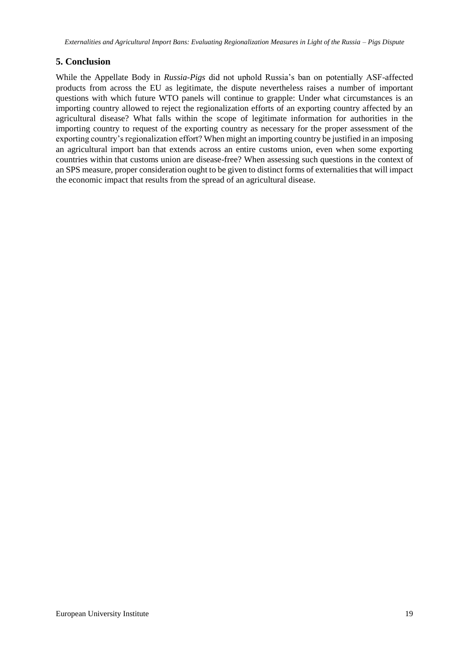## **5. Conclusion**

While the Appellate Body in *Russia-Pigs* did not uphold Russia's ban on potentially ASF-affected products from across the EU as legitimate, the dispute nevertheless raises a number of important questions with which future WTO panels will continue to grapple: Under what circumstances is an importing country allowed to reject the regionalization efforts of an exporting country affected by an agricultural disease? What falls within the scope of legitimate information for authorities in the importing country to request of the exporting country as necessary for the proper assessment of the exporting country's regionalization effort? When might an importing country be justified in an imposing an agricultural import ban that extends across an entire customs union, even when some exporting countries within that customs union are disease-free? When assessing such questions in the context of an SPS measure, proper consideration ought to be given to distinct forms of externalities that will impact the economic impact that results from the spread of an agricultural disease.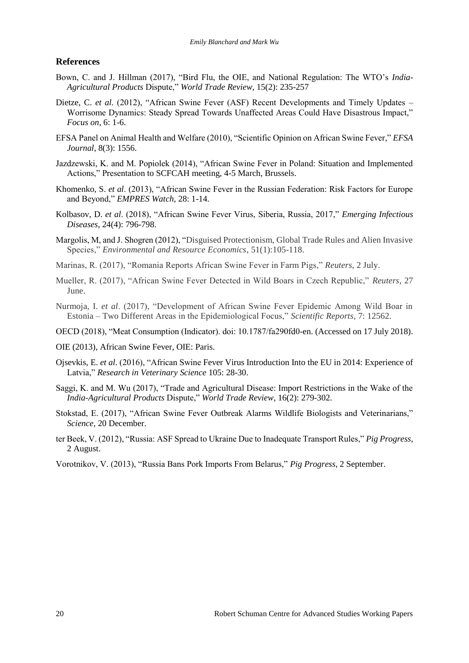#### **References**

- Bown, C. and J. Hillman (2017), "Bird Flu, the OIE, and National Regulation: The WTO's *India-Agricultural Products* Dispute," *World Trade Review*, 15(2): 235-257
- Dietze, C. *et al.* (2012), "African Swine Fever (ASF) Recent Developments and Timely Updates Worrisome Dynamics: Steady Spread Towards Unaffected Areas Could Have Disastrous Impact," *Focus on*, 6: 1-6.
- EFSA Panel on Animal Health and Welfare (2010), "Scientific Opinion on African Swine Fever," *EFSA Journal*, 8(3): 1556.
- Jazdzewski, K. and M. Popiolek (2014), "African Swine Fever in Poland: Situation and Implemented Actions," Presentation to SCFCAH meeting, 4-5 March, Brussels.
- Khomenko, S. *et al*. (2013), "African Swine Fever in the Russian Federation: Risk Factors for Europe and Beyond," *EMPRES Watch*, 28: 1-14.
- Kolbasov, D. *et al*. (2018), "African Swine Fever Virus, Siberia, Russia, 2017," *Emerging Infectious Diseases*, 24(4): 796-798.
- Margolis, M, and J. Shogren (2012), "Disguised Protectionism, Global Trade Rules and Alien Invasive Species," *Environmental and Resource Economics*, 51(1):105-118.
- Marinas, R. (2017), "Romania Reports African Swine Fever in Farm Pigs," *Reuters*, 2 July.
- Mueller, R. (2017), "African Swine Fever Detected in Wild Boars in Czech Republic," *Reuters*, 27 June.
- Nurmoja, I. *et al*. (2017), "Development of African Swine Fever Epidemic Among Wild Boar in Estonia – Two Different Areas in the Epidemiological Focus," *Scientific Reports*, 7: 12562.
- OECD (2018), "Meat Consumption (Indicator). doi: 10.1787/fa290fd0-en. (Accessed on 17 July 2018).
- OIE (2013), African Swine Fever, OIE: Paris.
- Ojsevkis, E. *et al*. (2016), "African Swine Fever Virus Introduction Into the EU in 2014: Experience of Latvia," *Research in Veterinary Science* 105: 28-30.
- Saggi, K. and M. Wu (2017), "Trade and Agricultural Disease: Import Restrictions in the Wake of the *India-Agricultural Products* Dispute," *World Trade Review*, 16(2): 279-302.
- Stokstad, E. (2017), "African Swine Fever Outbreak Alarms Wildlife Biologists and Veterinarians," *Science*, 20 December.
- ter Beek, V. (2012), "Russia: ASF Spread to Ukraine Due to Inadequate Transport Rules," *Pig Progress*, 2 August.
- Vorotnikov, V. (2013), "Russia Bans Pork Imports From Belarus," *Pig Progress*, 2 September.